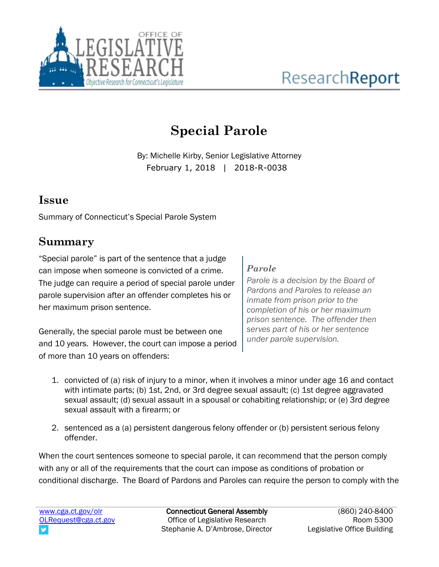

# **Special Parole**

By: Michelle Kirby, Senior Legislative Attorney February 1, 2018 | 2018-R-0038

## **Issue**

Summary of Connecticut's Special Parole System

## **Summary**

"Special parole" is part of the sentence that a judge can impose when someone is convicted of a crime. The judge can require a period of special parole under parole supervision after an offender completes his or her maximum prison sentence.

Generally, the special parole must be between one and 10 years. However, the court can impose a period of more than 10 years on offenders:

#### *Parole*

*Parole is a decision by the Board of Pardons and Paroles to release an inmate from prison prior to the completion of his or her maximum prison sentence. The offender then serves part of his or her sentence under parole supervision.* 

- 1. convicted of (a) risk of injury to a minor, when it involves a minor under age 16 and contact with intimate parts; (b) 1st, 2nd, or 3rd degree sexual assault; (c) 1st degree aggravated sexual assault; (d) sexual assault in a spousal or cohabiting relationship; or (e) 3rd degree sexual assault with a firearm; or
- 2. sentenced as a (a) persistent dangerous felony offender or (b) persistent serious felony offender.

When the court sentences someone to special parole, it can recommend that the person comply with any or all of the requirements that the court can impose as conditions of probation or conditional discharge. The Board of Pardons and Paroles can require the person to comply with the